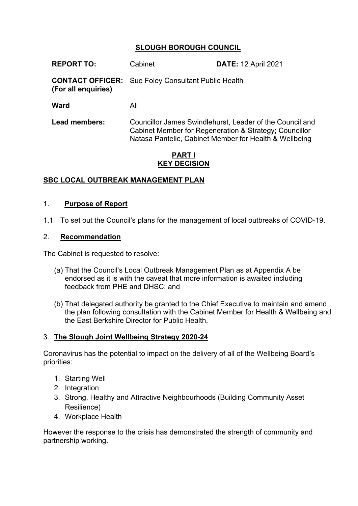# **SLOUGH BOROUGH COUNCIL**

| <b>REPORT TO:</b>                              | Cabinet                                                                                                                                                                      | <b>DATE: 12 April 2021</b> |
|------------------------------------------------|------------------------------------------------------------------------------------------------------------------------------------------------------------------------------|----------------------------|
| <b>CONTACT OFFICER:</b><br>(For all enquiries) | Sue Foley Consultant Public Health                                                                                                                                           |                            |
| Ward                                           | All                                                                                                                                                                          |                            |
| <b>Lead members:</b>                           | Councillor James Swindlehurst, Leader of the Council and<br>Cabinet Member for Regeneration & Strategy; Councillor<br>Natasa Pantelic, Cabinet Member for Health & Wellbeing |                            |
| DADTI                                          |                                                                                                                                                                              |                            |

#### **PART I KEY DECISION**

#### **SBC LOCAL OUTBREAK MANAGEMENT PLAN**

#### 1. **Purpose of Report**

1.1 To set out the Council's plans for the management of local outbreaks of COVID-19.

#### 2. **Recommendation**

The Cabinet is requested to resolve:

- (a) That the Council's Local Outbreak Management Plan as at Appendix A be endorsed as it is with the caveat that more information is awaited including feedback from PHE and DHSC; and
- (b) That delegated authority be granted to the Chief Executive to maintain and amend the plan following consultation with the Cabinet Member for Health & Wellbeing and the East Berkshire Director for Public Health.

#### 3. **The Slough Joint Wellbeing Strategy 2020-24**

Coronavirus has the potential to impact on the delivery of all of the Wellbeing Board's priorities:

- 1. Starting Well
- 2. Integration
- 3. Strong, Healthy and Attractive Neighbourhoods (Building Community Asset Resilience)
- 4. Workplace Health

However the response to the crisis has demonstrated the strength of community and partnership working.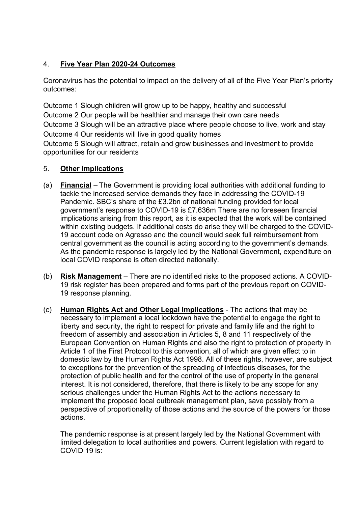# 4. **Five Year Plan 2020-24 Outcomes**

Coronavirus has the potential to impact on the delivery of all of the Five Year Plan's priority outcomes:

Outcome 1 Slough children will grow up to be happy, healthy and successful Outcome 2 Our people will be healthier and manage their own care needs Outcome 3 Slough will be an attractive place where people choose to live, work and stay Outcome 4 Our residents will live in good quality homes

Outcome 5 Slough will attract, retain and grow businesses and investment to provide opportunities for our residents

## 5. **Other Implications**

- (a) **Financial** The Government is providing local authorities with additional funding to tackle the increased service demands they face in addressing the COVID-19 Pandemic. SBC's share of the £3.2bn of national funding provided for local government's response to COVID-19 is £7.636m There are no foreseen financial implications arising from this report, as it is expected that the work will be contained within existing budgets. If additional costs do arise they will be charged to the COVID-19 account code on Agresso and the council would seek full reimbursement from central government as the council is acting according to the government's demands. As the pandemic response is largely led by the National Government, expenditure on local COVID response is often directed nationally.
- (b) **Risk Management** There are no identified risks to the proposed actions. A COVID-19 risk register has been prepared and forms part of the previous report on COVID-19 response planning.
- (c) **Human Rights Act and Other Legal Implications** The actions that may be necessary to implement a local lockdown have the potential to engage the right to liberty and security, the right to respect for private and family life and the right to freedom of assembly and association in Articles 5, 8 and 11 respectively of the European Convention on Human Rights and also the right to protection of property in Article 1 of the First Protocol to this convention, all of which are given effect to in domestic law by the Human Rights Act 1998. All of these rights, however, are subject to exceptions for the prevention of the spreading of infectious diseases, for the protection of public health and for the control of the use of property in the general interest. It is not considered, therefore, that there is likely to be any scope for any serious challenges under the Human Rights Act to the actions necessary to implement the proposed local outbreak management plan, save possibly from a perspective of proportionality of those actions and the source of the powers for those actions.

The pandemic response is at present largely led by the National Government with limited delegation to local authorities and powers. Current legislation with regard to COVID 19 is: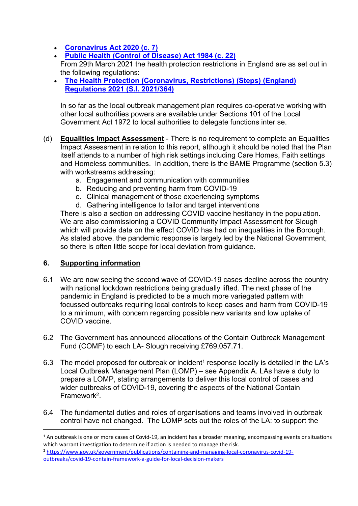- **[Coronavirus](https://www.legislation.gov.uk/id/ukpga/2020/7) Act 2020 (c. 7)**
- **Public Health (Control of [Disease\)](https://www.legislation.gov.uk/id/ukpga/1984/22) Act 1984 (c. 22)**

From 29th March 2021 the health protection restrictions in England are as set out in the following regulations:

 **The Health Protection [\(Coronavirus,](https://www.legislation.gov.uk/id/uksi/2021/364) Restrictions) (Steps) (England) [Regulations](https://www.legislation.gov.uk/id/uksi/2021/364) 2021 (S.I. 2021/364)**

In so far as the local outbreak management plan requires co-operative working with other local authorities powers are available under Sections 101 of the Local Government Act 1972 to local authorities to delegate functions inter se.

- (d) **Equalities Impact Assessment** There is no requirement to complete an Equalities Impact Assessment in relation to this report, although it should be noted that the Plan itself attends to a number of high risk settings including Care Homes, Faith settings and Homeless communities. In addition, there is the BAME Programme (section 5.3) with workstreams addressing:
	- a. Engagement and communication with communities
	- b. Reducing and preventing harm from COVID-19
	- c. Clinical management of those experiencing symptoms
	- d. Gathering intelligence to tailor and target interventions

There is also a section on addressing COVID vaccine hesitancy in the population. We are also commissioning a COVID Community Impact Assessment for Slough which will provide data on the effect COVID has had on inequalities in the Borough. As stated above, the pandemic response is largely led by the National Government, so there is often little scope for local deviation from guidance.

#### **6. Supporting information**

- 6.1 We are now seeing the second wave of COVID-19 cases decline across the country with national lockdown restrictions being gradually lifted. The next phase of the pandemic in England is predicted to be a much more variegated pattern with focussed outbreaks requiring local controls to keep cases and harm from COVID-19 to a minimum, with concern regarding possible new variants and low uptake of COVID vaccine.
- 6.2 The Government has announced allocations of the Contain Outbreak Management Fund (COMF) to each LA- Slough receiving £769,057.71.
- 6.3 The model proposed for outbreak or incident<sup>1</sup> response locally is detailed in the LA's Local Outbreak Management Plan (LOMP) – see Appendix A. LAs have a duty to prepare a LOMP, stating arrangements to deliver this local control of cases and wider outbreaks of COVID-19, covering the aspects of the National Contain Framework<sup>2</sup>.
- 6.4 The fundamental duties and roles of organisations and teams involved in outbreak control have not changed. The LOMP sets out the roles of the LA: to support the

<sup>&</sup>lt;sup>1</sup> An outbreak is one or more cases of Covid-19, an incident has a broader meaning, encompassing events or situations which warrant investigation to determine if action is needed to manage the risk.

<sup>2</sup> [https://www.gov.uk/government/publications/containing-and-managing-local-coronavirus-covid-19](https://www.gov.uk/government/publications/containing-and-managing-local-coronavirus-covid-19-outbreaks/covid-19-contain-framework-a-guide-for-local-decision-makers) [outbreaks/covid-19-contain-framework-a-guide-for-local-decision-makers](https://www.gov.uk/government/publications/containing-and-managing-local-coronavirus-covid-19-outbreaks/covid-19-contain-framework-a-guide-for-local-decision-makers)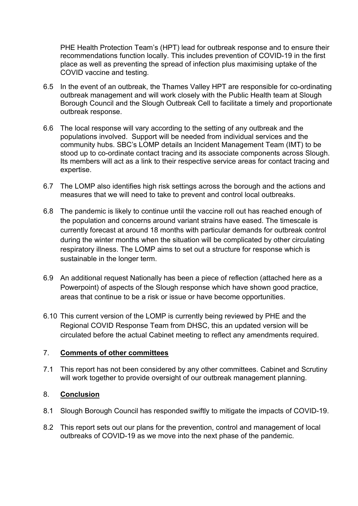PHE Health Protection Team's (HPT) lead for outbreak response and to ensure their recommendations function locally. This includes prevention of COVID-19 in the first place as well as preventing the spread of infection plus maximising uptake of the COVID vaccine and testing.

- 6.5 In the event of an outbreak, the Thames Valley HPT are responsible for co-ordinating outbreak management and will work closely with the Public Health team at Slough Borough Council and the Slough Outbreak Cell to facilitate a timely and proportionate outbreak response.
- 6.6 The local response will vary according to the setting of any outbreak and the populations involved. Support will be needed from individual services and the community hubs. SBC's LOMP details an Incident Management Team (IMT) to be stood up to co-ordinate contact tracing and its associate components across Slough. Its members will act as a link to their respective service areas for contact tracing and expertise.
- 6.7 The LOMP also identifies high risk settings across the borough and the actions and measures that we will need to take to prevent and control local outbreaks.
- 6.8 The pandemic is likely to continue until the vaccine roll out has reached enough of the population and concerns around variant strains have eased. The timescale is currently forecast at around 18 months with particular demands for outbreak control during the winter months when the situation will be complicated by other circulating respiratory illness. The LOMP aims to set out a structure for response which is sustainable in the longer term.
- 6.9 An additional request Nationally has been a piece of reflection (attached here as a Powerpoint) of aspects of the Slough response which have shown good practice, areas that continue to be a risk or issue or have become opportunities.
- 6.10 This current version of the LOMP is currently being reviewed by PHE and the Regional COVID Response Team from DHSC, this an updated version will be circulated before the actual Cabinet meeting to reflect any amendments required.

## 7. **Comments of other committees**

7.1 This report has not been considered by any other committees. Cabinet and Scrutiny will work together to provide oversight of our outbreak management planning.

## 8. **Conclusion**

- 8.1 Slough Borough Council has responded swiftly to mitigate the impacts of COVID-19.
- 8.2 This report sets out our plans for the prevention, control and management of local outbreaks of COVID-19 as we move into the next phase of the pandemic.